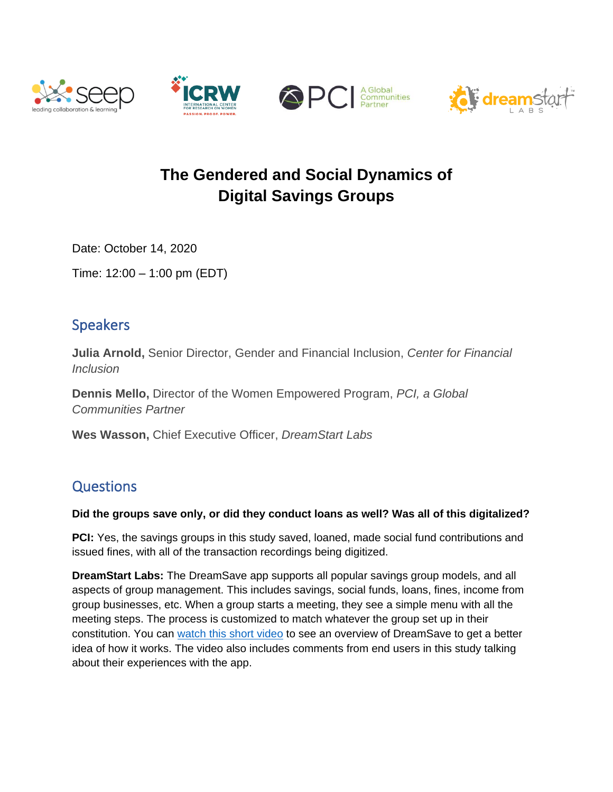







# **The Gendered and Social Dynamics of Digital Savings Groups**

Date: October 14, 2020

Time: 12:00 – 1:00 pm (EDT)

## Speakers

**Julia Arnold,** Senior Director, Gender and Financial Inclusion, *Center for Financial Inclusion*

**Dennis Mello,** Director of the Women Empowered Program, *PCI, a Global Communities Partner*

**Wes Wasson,** Chief Executive Officer, *DreamStart Labs*

## **Questions**

#### **Did the groups save only, or did they conduct loans as well? Was all of this digitalized?**

**PCI:** Yes, the savings groups in this study saved, loaned, made social fund contributions and issued fines, with all of the transaction recordings being digitized.

**DreamStart Labs:** The DreamSave app supports all popular savings group models, and all aspects of group management. This includes savings, social funds, loans, fines, income from group businesses, etc. When a group starts a meeting, they see a simple menu with all the meeting steps. The process is customized to match whatever the group set up in their constitution. You can [watch this short video](https://youtu.be/6p5VUlVAd44) to see an overview of DreamSave to get a better idea of how it works. The video also includes comments from end users in this study talking about their experiences with the app.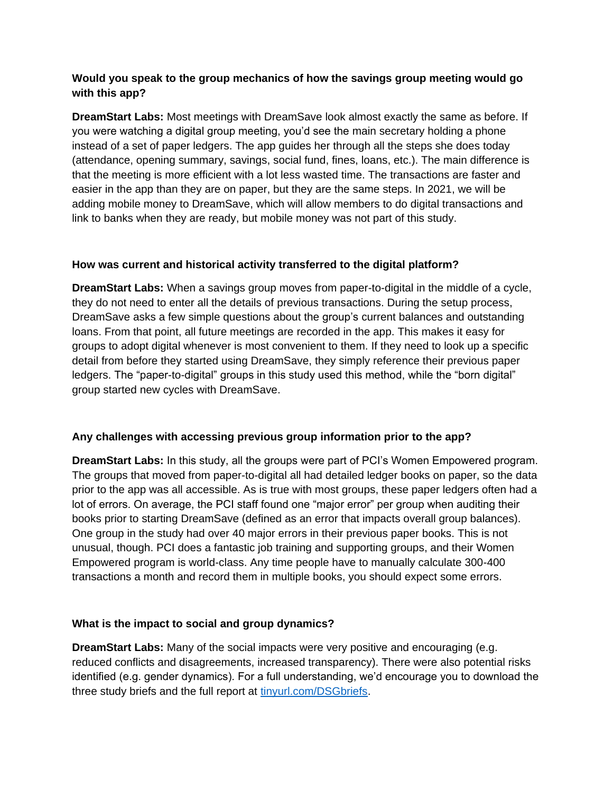#### **Would you speak to the group mechanics of how the savings group meeting would go with this app?**

**DreamStart Labs:** Most meetings with DreamSave look almost exactly the same as before. If you were watching a digital group meeting, you'd see the main secretary holding a phone instead of a set of paper ledgers. The app guides her through all the steps she does today (attendance, opening summary, savings, social fund, fines, loans, etc.). The main difference is that the meeting is more efficient with a lot less wasted time. The transactions are faster and easier in the app than they are on paper, but they are the same steps. In 2021, we will be adding mobile money to DreamSave, which will allow members to do digital transactions and link to banks when they are ready, but mobile money was not part of this study.

#### **How was current and historical activity transferred to the digital platform?**

**DreamStart Labs:** When a savings group moves from paper-to-digital in the middle of a cycle, they do not need to enter all the details of previous transactions. During the setup process, DreamSave asks a few simple questions about the group's current balances and outstanding loans. From that point, all future meetings are recorded in the app. This makes it easy for groups to adopt digital whenever is most convenient to them. If they need to look up a specific detail from before they started using DreamSave, they simply reference their previous paper ledgers. The "paper-to-digital" groups in this study used this method, while the "born digital" group started new cycles with DreamSave.

#### **Any challenges with accessing previous group information prior to the app?**

**DreamStart Labs:** In this study, all the groups were part of PCI's Women Empowered program. The groups that moved from paper-to-digital all had detailed ledger books on paper, so the data prior to the app was all accessible. As is true with most groups, these paper ledgers often had a lot of errors. On average, the PCI staff found one "major error" per group when auditing their books prior to starting DreamSave (defined as an error that impacts overall group balances). One group in the study had over 40 major errors in their previous paper books. This is not unusual, though. PCI does a fantastic job training and supporting groups, and their Women Empowered program is world-class. Any time people have to manually calculate 300-400 transactions a month and record them in multiple books, you should expect some errors.

#### **What is the impact to social and group dynamics?**

**DreamStart Labs:** Many of the social impacts were very positive and encouraging (e.g. reduced conflicts and disagreements, increased transparency). There were also potential risks identified (e.g. gender dynamics). For a full understanding, we'd encourage you to download the three study briefs and the full report at [tinyurl.com/DSGbriefs.](http://tinyurl.com/DSGbriefs)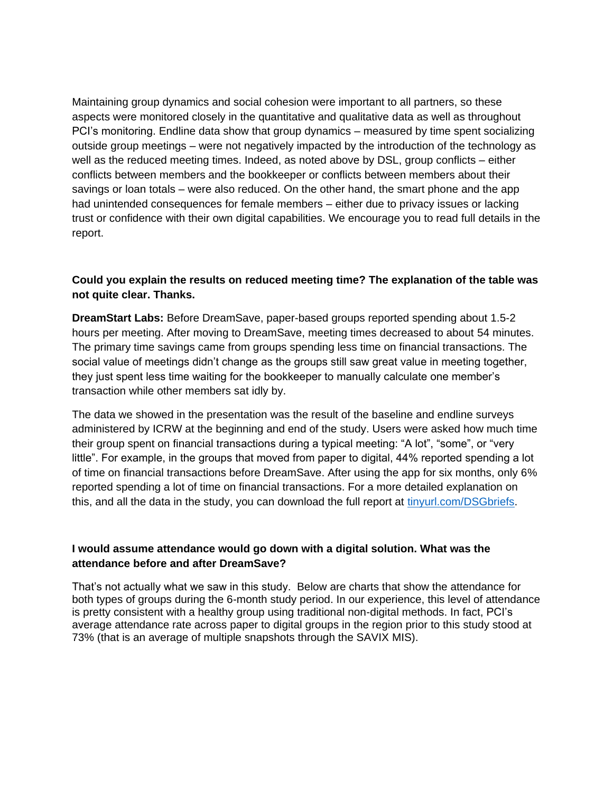Maintaining group dynamics and social cohesion were important to all partners, so these aspects were monitored closely in the quantitative and qualitative data as well as throughout PCI's monitoring. Endline data show that group dynamics – measured by time spent socializing outside group meetings – were not negatively impacted by the introduction of the technology as well as the reduced meeting times. Indeed, as noted above by DSL, group conflicts – either conflicts between members and the bookkeeper or conflicts between members about their savings or loan totals – were also reduced. On the other hand, the smart phone and the app had unintended consequences for female members – either due to privacy issues or lacking trust or confidence with their own digital capabilities. We encourage you to read full details in the report.

#### **Could you explain the results on reduced meeting time? The explanation of the table was not quite clear. Thanks.**

**DreamStart Labs:** Before DreamSave, paper-based groups reported spending about 1.5-2 hours per meeting. After moving to DreamSave, meeting times decreased to about 54 minutes. The primary time savings came from groups spending less time on financial transactions. The social value of meetings didn't change as the groups still saw great value in meeting together, they just spent less time waiting for the bookkeeper to manually calculate one member's transaction while other members sat idly by.

The data we showed in the presentation was the result of the baseline and endline surveys administered by ICRW at the beginning and end of the study. Users were asked how much time their group spent on financial transactions during a typical meeting: "A lot", "some", or "very little". For example, in the groups that moved from paper to digital, 44% reported spending a lot of time on financial transactions before DreamSave. After using the app for six months, only 6% reported spending a lot of time on financial transactions. For a more detailed explanation on this, and all the data in the study, you can download the full report at [tinyurl.com/DSGbriefs.](http://tinyurl.com/DSGbriefs)

#### **I would assume attendance would go down with a digital solution. What was the attendance before and after DreamSave?**

That's not actually what we saw in this study. Below are charts that show the attendance for both types of groups during the 6-month study period. In our experience, this level of attendance is pretty consistent with a healthy group using traditional non-digital methods. In fact, PCI's average attendance rate across paper to digital groups in the region prior to this study stood at 73% (that is an average of multiple snapshots through the SAVIX MIS).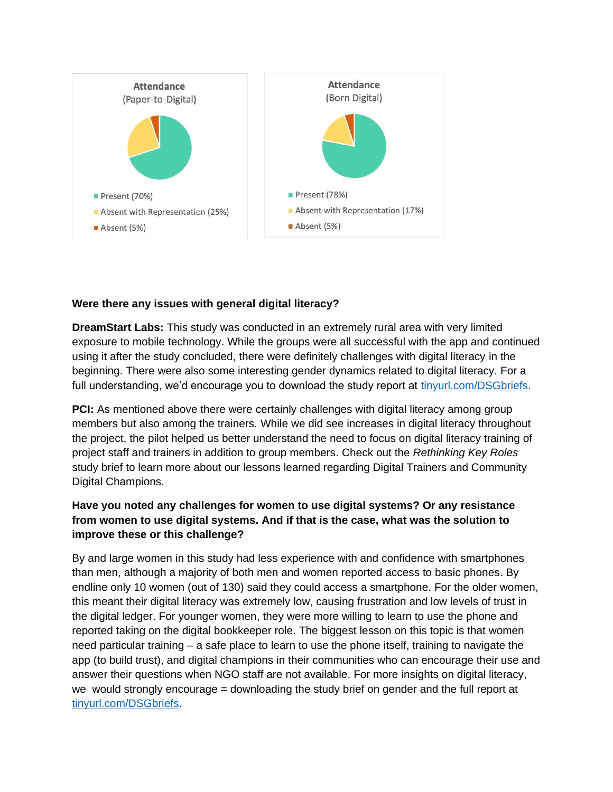

#### **Were there any issues with general digital literacy?**

**DreamStart Labs:** This study was conducted in an extremely rural area with very limited exposure to mobile technology. While the groups were all successful with the app and continued using it after the study concluded, there were definitely challenges with digital literacy in the beginning. There were also some interesting gender dynamics related to digital literacy. For a full understanding, we'd encourage you to download the study report at [tinyurl.com/DSGbriefs.](http://tinyurl.com/DSGbriefs)

**PCI:** As mentioned above there were certainly challenges with digital literacy among group members but also among the trainers. While we did see increases in digital literacy throughout the project, the pilot helped us better understand the need to focus on digital literacy training of project staff and trainers in addition to group members. Check out the *Rethinking Key Roles*  study brief to learn more about our lessons learned regarding Digital Trainers and Community Digital Champions.

#### **Have you noted any challenges for women to use digital systems? Or any resistance from women to use digital systems. And if that is the case, what was the solution to improve these or this challenge?**

By and large women in this study had less experience with and confidence with smartphones than men, although a majority of both men and women reported access to basic phones. By endline only 10 women (out of 130) said they could access a smartphone. For the older women, this meant their digital literacy was extremely low, causing frustration and low levels of trust in the digital ledger. For younger women, they were more willing to learn to use the phone and reported taking on the digital bookkeeper role. The biggest lesson on this topic is that women need particular training – a safe place to learn to use the phone itself, training to navigate the app (to build trust), and digital champions in their communities who can encourage their use and answer their questions when NGO staff are not available. For more insights on digital literacy, we would strongly encourage = downloading the study brief on gender and the full report at [tinyurl.com/DSGbriefs.](http://tinyurl.com/DSGbriefs)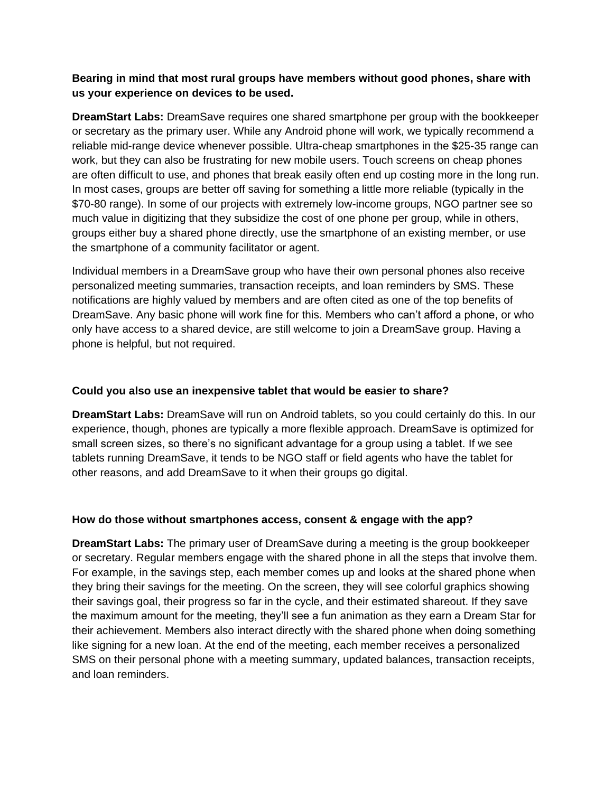#### **Bearing in mind that most rural groups have members without good phones, share with us your experience on devices to be used.**

**DreamStart Labs:** DreamSave requires one shared smartphone per group with the bookkeeper or secretary as the primary user. While any Android phone will work, we typically recommend a reliable mid-range device whenever possible. Ultra-cheap smartphones in the \$25-35 range can work, but they can also be frustrating for new mobile users. Touch screens on cheap phones are often difficult to use, and phones that break easily often end up costing more in the long run. In most cases, groups are better off saving for something a little more reliable (typically in the \$70-80 range). In some of our projects with extremely low-income groups, NGO partner see so much value in digitizing that they subsidize the cost of one phone per group, while in others, groups either buy a shared phone directly, use the smartphone of an existing member, or use the smartphone of a community facilitator or agent.

Individual members in a DreamSave group who have their own personal phones also receive personalized meeting summaries, transaction receipts, and loan reminders by SMS. These notifications are highly valued by members and are often cited as one of the top benefits of DreamSave. Any basic phone will work fine for this. Members who can't afford a phone, or who only have access to a shared device, are still welcome to join a DreamSave group. Having a phone is helpful, but not required.

#### **Could you also use an inexpensive tablet that would be easier to share?**

**DreamStart Labs:** DreamSave will run on Android tablets, so you could certainly do this. In our experience, though, phones are typically a more flexible approach. DreamSave is optimized for small screen sizes, so there's no significant advantage for a group using a tablet. If we see tablets running DreamSave, it tends to be NGO staff or field agents who have the tablet for other reasons, and add DreamSave to it when their groups go digital.

#### **How do those without smartphones access, consent & engage with the app?**

**DreamStart Labs:** The primary user of DreamSave during a meeting is the group bookkeeper or secretary. Regular members engage with the shared phone in all the steps that involve them. For example, in the savings step, each member comes up and looks at the shared phone when they bring their savings for the meeting. On the screen, they will see colorful graphics showing their savings goal, their progress so far in the cycle, and their estimated shareout. If they save the maximum amount for the meeting, they'll see a fun animation as they earn a Dream Star for their achievement. Members also interact directly with the shared phone when doing something like signing for a new loan. At the end of the meeting, each member receives a personalized SMS on their personal phone with a meeting summary, updated balances, transaction receipts, and loan reminders.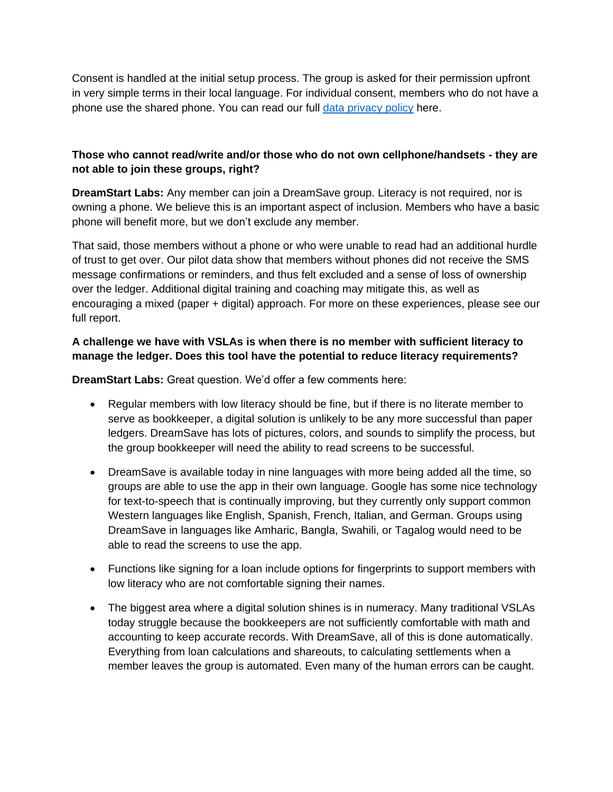Consent is handled at the initial setup process. The group is asked for their permission upfront in very simple terms in their local language. For individual consent, members who do not have a phone use the shared phone. You can read our full [data privacy policy](http://www.dreamstartlabs.com/dreamsave-privacy-policy.html) here.

#### **Those who cannot read/write and/or those who do not own cellphone/handsets - they are not able to join these groups, right?**

**DreamStart Labs:** Any member can join a DreamSave group. Literacy is not required, nor is owning a phone. We believe this is an important aspect of inclusion. Members who have a basic phone will benefit more, but we don't exclude any member.

That said, those members without a phone or who were unable to read had an additional hurdle of trust to get over. Our pilot data show that members without phones did not receive the SMS message confirmations or reminders, and thus felt excluded and a sense of loss of ownership over the ledger. Additional digital training and coaching may mitigate this, as well as encouraging a mixed (paper + digital) approach. For more on these experiences, please see our full report.

#### **A challenge we have with VSLAs is when there is no member with sufficient literacy to manage the ledger. Does this tool have the potential to reduce literacy requirements?**

**DreamStart Labs:** Great question. We'd offer a few comments here:

- Regular members with low literacy should be fine, but if there is no literate member to serve as bookkeeper, a digital solution is unlikely to be any more successful than paper ledgers. DreamSave has lots of pictures, colors, and sounds to simplify the process, but the group bookkeeper will need the ability to read screens to be successful.
- DreamSave is available today in nine languages with more being added all the time, so groups are able to use the app in their own language. Google has some nice technology for text-to-speech that is continually improving, but they currently only support common Western languages like English, Spanish, French, Italian, and German. Groups using DreamSave in languages like Amharic, Bangla, Swahili, or Tagalog would need to be able to read the screens to use the app.
- Functions like signing for a loan include options for fingerprints to support members with low literacy who are not comfortable signing their names.
- The biggest area where a digital solution shines is in numeracy. Many traditional VSLAs today struggle because the bookkeepers are not sufficiently comfortable with math and accounting to keep accurate records. With DreamSave, all of this is done automatically. Everything from loan calculations and shareouts, to calculating settlements when a member leaves the group is automated. Even many of the human errors can be caught.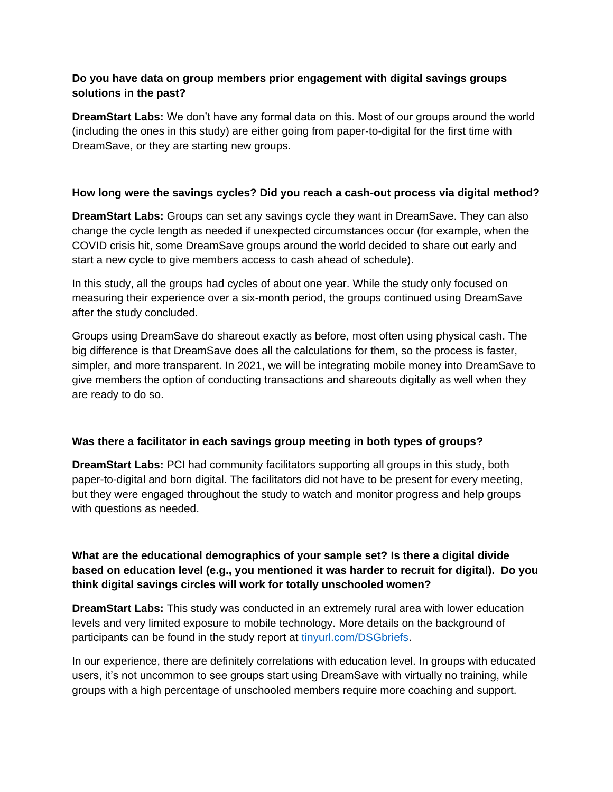#### **Do you have data on group members prior engagement with digital savings groups solutions in the past?**

**DreamStart Labs:** We don't have any formal data on this. Most of our groups around the world (including the ones in this study) are either going from paper-to-digital for the first time with DreamSave, or they are starting new groups.

#### **How long were the savings cycles? Did you reach a cash-out process via digital method?**

**DreamStart Labs:** Groups can set any savings cycle they want in DreamSave. They can also change the cycle length as needed if unexpected circumstances occur (for example, when the COVID crisis hit, some DreamSave groups around the world decided to share out early and start a new cycle to give members access to cash ahead of schedule).

In this study, all the groups had cycles of about one year. While the study only focused on measuring their experience over a six-month period, the groups continued using DreamSave after the study concluded.

Groups using DreamSave do shareout exactly as before, most often using physical cash. The big difference is that DreamSave does all the calculations for them, so the process is faster, simpler, and more transparent. In 2021, we will be integrating mobile money into DreamSave to give members the option of conducting transactions and shareouts digitally as well when they are ready to do so.

#### **Was there a facilitator in each savings group meeting in both types of groups?**

**DreamStart Labs:** PCI had community facilitators supporting all groups in this study, both paper-to-digital and born digital. The facilitators did not have to be present for every meeting, but they were engaged throughout the study to watch and monitor progress and help groups with questions as needed.

#### **What are the educational demographics of your sample set? Is there a digital divide based on education level (e.g., you mentioned it was harder to recruit for digital). Do you think digital savings circles will work for totally unschooled women?**

**DreamStart Labs:** This study was conducted in an extremely rural area with lower education levels and very limited exposure to mobile technology. More details on the background of participants can be found in the study report at [tinyurl.com/DSGbriefs.](http://tinyurl.com/DSGbriefs)

In our experience, there are definitely correlations with education level. In groups with educated users, it's not uncommon to see groups start using DreamSave with virtually no training, while groups with a high percentage of unschooled members require more coaching and support.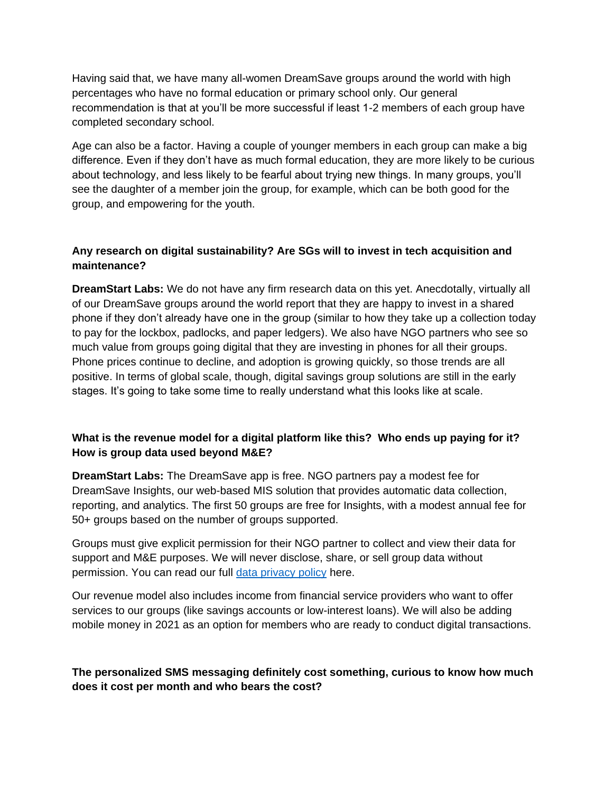Having said that, we have many all-women DreamSave groups around the world with high percentages who have no formal education or primary school only. Our general recommendation is that at you'll be more successful if least 1-2 members of each group have completed secondary school.

Age can also be a factor. Having a couple of younger members in each group can make a big difference. Even if they don't have as much formal education, they are more likely to be curious about technology, and less likely to be fearful about trying new things. In many groups, you'll see the daughter of a member join the group, for example, which can be both good for the group, and empowering for the youth.

#### **Any research on digital sustainability? Are SGs will to invest in tech acquisition and maintenance?**

**DreamStart Labs:** We do not have any firm research data on this yet. Anecdotally, virtually all of our DreamSave groups around the world report that they are happy to invest in a shared phone if they don't already have one in the group (similar to how they take up a collection today to pay for the lockbox, padlocks, and paper ledgers). We also have NGO partners who see so much value from groups going digital that they are investing in phones for all their groups. Phone prices continue to decline, and adoption is growing quickly, so those trends are all positive. In terms of global scale, though, digital savings group solutions are still in the early stages. It's going to take some time to really understand what this looks like at scale.

#### **What is the revenue model for a digital platform like this? Who ends up paying for it? How is group data used beyond M&E?**

**DreamStart Labs:** The DreamSave app is free. NGO partners pay a modest fee for DreamSave Insights, our web-based MIS solution that provides automatic data collection, reporting, and analytics. The first 50 groups are free for Insights, with a modest annual fee for 50+ groups based on the number of groups supported.

Groups must give explicit permission for their NGO partner to collect and view their data for support and M&E purposes. We will never disclose, share, or sell group data without permission. You can read our full [data privacy policy](http://www.dreamstartlabs.com/dreamsave-privacy-policy.html) here.

Our revenue model also includes income from financial service providers who want to offer services to our groups (like savings accounts or low-interest loans). We will also be adding mobile money in 2021 as an option for members who are ready to conduct digital transactions.

#### **The personalized SMS messaging definitely cost something, curious to know how much does it cost per month and who bears the cost?**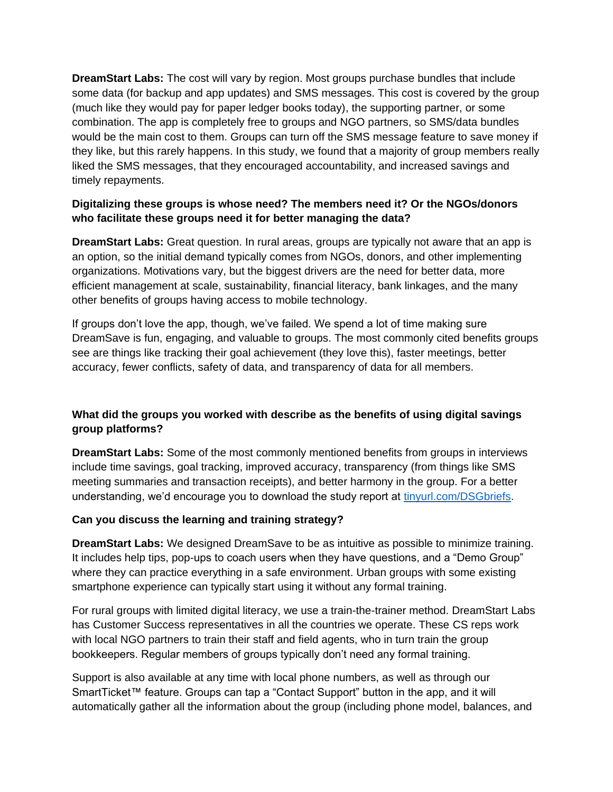**DreamStart Labs:** The cost will vary by region. Most groups purchase bundles that include some data (for backup and app updates) and SMS messages. This cost is covered by the group (much like they would pay for paper ledger books today), the supporting partner, or some combination. The app is completely free to groups and NGO partners, so SMS/data bundles would be the main cost to them. Groups can turn off the SMS message feature to save money if they like, but this rarely happens. In this study, we found that a majority of group members really liked the SMS messages, that they encouraged accountability, and increased savings and timely repayments.

#### **Digitalizing these groups is whose need? The members need it? Or the NGOs/donors who facilitate these groups need it for better managing the data?**

**DreamStart Labs:** Great question. In rural areas, groups are typically not aware that an app is an option, so the initial demand typically comes from NGOs, donors, and other implementing organizations. Motivations vary, but the biggest drivers are the need for better data, more efficient management at scale, sustainability, financial literacy, bank linkages, and the many other benefits of groups having access to mobile technology.

If groups don't love the app, though, we've failed. We spend a lot of time making sure DreamSave is fun, engaging, and valuable to groups. The most commonly cited benefits groups see are things like tracking their goal achievement (they love this), faster meetings, better accuracy, fewer conflicts, safety of data, and transparency of data for all members.

#### **What did the groups you worked with describe as the benefits of using digital savings group platforms?**

**DreamStart Labs:** Some of the most commonly mentioned benefits from groups in interviews include time savings, goal tracking, improved accuracy, transparency (from things like SMS meeting summaries and transaction receipts), and better harmony in the group. For a better understanding, we'd encourage you to download the study report at [tinyurl.com/DSGbriefs.](http://tinyurl.com/DSGbriefs)

#### **Can you discuss the learning and training strategy?**

**DreamStart Labs:** We designed DreamSave to be as intuitive as possible to minimize training. It includes help tips, pop-ups to coach users when they have questions, and a "Demo Group" where they can practice everything in a safe environment. Urban groups with some existing smartphone experience can typically start using it without any formal training.

For rural groups with limited digital literacy, we use a train-the-trainer method. DreamStart Labs has Customer Success representatives in all the countries we operate. These CS reps work with local NGO partners to train their staff and field agents, who in turn train the group bookkeepers. Regular members of groups typically don't need any formal training.

Support is also available at any time with local phone numbers, as well as through our SmartTicket™ feature. Groups can tap a "Contact Support" button in the app, and it will automatically gather all the information about the group (including phone model, balances, and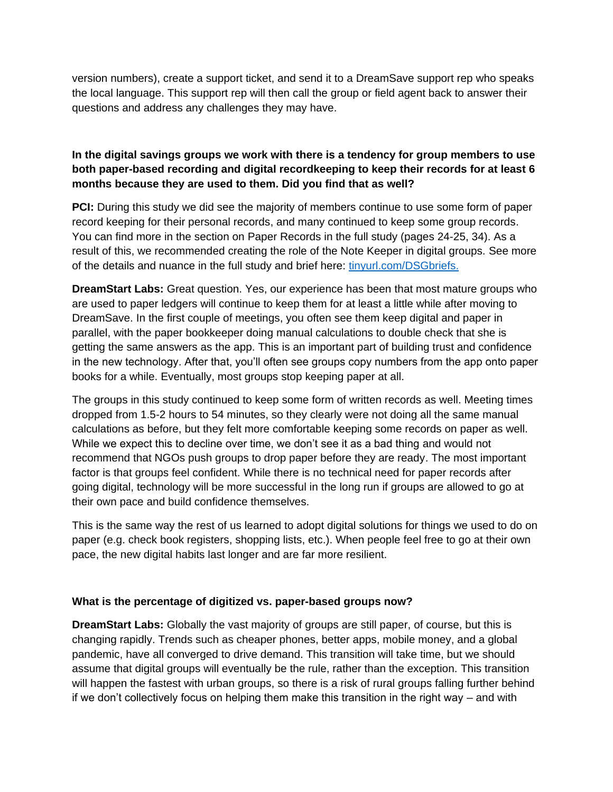version numbers), create a support ticket, and send it to a DreamSave support rep who speaks the local language. This support rep will then call the group or field agent back to answer their questions and address any challenges they may have.

#### **In the digital savings groups we work with there is a tendency for group members to use both paper-based recording and digital recordkeeping to keep their records for at least 6 months because they are used to them. Did you find that as well?**

**PCI:** During this study we did see the majority of members continue to use some form of paper record keeping for their personal records, and many continued to keep some group records. You can find more in the section on Paper Records in the full study (pages 24-25, 34). As a result of this, we recommended creating the role of the Note Keeper in digital groups. See more of the details and nuance in the full study and brief here: [tinyurl.com/DSGbriefs.](http://tinyurl.com/DSGbriefs)

**DreamStart Labs:** Great question. Yes, our experience has been that most mature groups who are used to paper ledgers will continue to keep them for at least a little while after moving to DreamSave. In the first couple of meetings, you often see them keep digital and paper in parallel, with the paper bookkeeper doing manual calculations to double check that she is getting the same answers as the app. This is an important part of building trust and confidence in the new technology. After that, you'll often see groups copy numbers from the app onto paper books for a while. Eventually, most groups stop keeping paper at all.

The groups in this study continued to keep some form of written records as well. Meeting times dropped from 1.5-2 hours to 54 minutes, so they clearly were not doing all the same manual calculations as before, but they felt more comfortable keeping some records on paper as well. While we expect this to decline over time, we don't see it as a bad thing and would not recommend that NGOs push groups to drop paper before they are ready. The most important factor is that groups feel confident. While there is no technical need for paper records after going digital, technology will be more successful in the long run if groups are allowed to go at their own pace and build confidence themselves.

This is the same way the rest of us learned to adopt digital solutions for things we used to do on paper (e.g. check book registers, shopping lists, etc.). When people feel free to go at their own pace, the new digital habits last longer and are far more resilient.

#### **What is the percentage of digitized vs. paper-based groups now?**

**DreamStart Labs:** Globally the vast majority of groups are still paper, of course, but this is changing rapidly. Trends such as cheaper phones, better apps, mobile money, and a global pandemic, have all converged to drive demand. This transition will take time, but we should assume that digital groups will eventually be the rule, rather than the exception. This transition will happen the fastest with urban groups, so there is a risk of rural groups falling further behind if we don't collectively focus on helping them make this transition in the right way – and with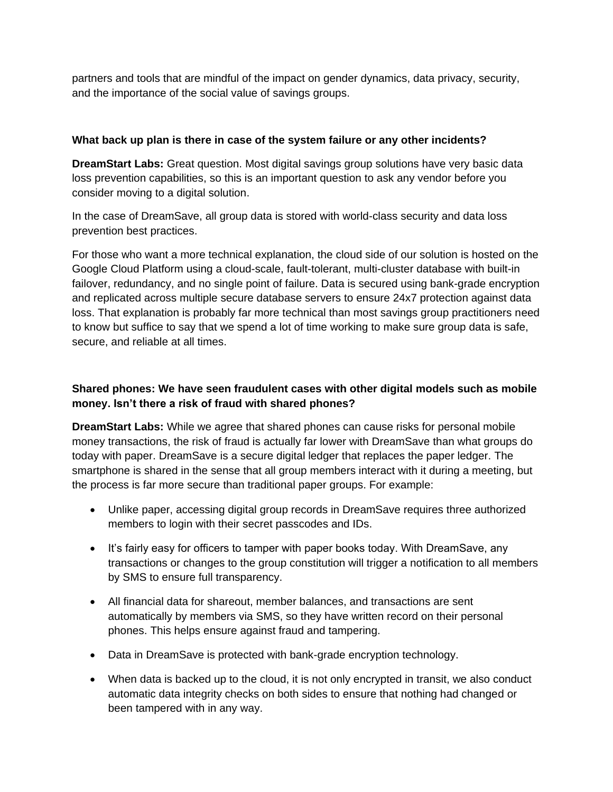partners and tools that are mindful of the impact on gender dynamics, data privacy, security, and the importance of the social value of savings groups.

#### **What back up plan is there in case of the system failure or any other incidents?**

**DreamStart Labs:** Great question. Most digital savings group solutions have very basic data loss prevention capabilities, so this is an important question to ask any vendor before you consider moving to a digital solution.

In the case of DreamSave, all group data is stored with world-class security and data loss prevention best practices.

For those who want a more technical explanation, the cloud side of our solution is hosted on the Google Cloud Platform using a cloud-scale, fault-tolerant, multi-cluster database with built-in failover, redundancy, and no single point of failure. Data is secured using bank-grade encryption and replicated across multiple secure database servers to ensure 24x7 protection against data loss. That explanation is probably far more technical than most savings group practitioners need to know but suffice to say that we spend a lot of time working to make sure group data is safe, secure, and reliable at all times.

#### **Shared phones: We have seen fraudulent cases with other digital models such as mobile money. Isn't there a risk of fraud with shared phones?**

**DreamStart Labs:** While we agree that shared phones can cause risks for personal mobile money transactions, the risk of fraud is actually far lower with DreamSave than what groups do today with paper. DreamSave is a secure digital ledger that replaces the paper ledger. The smartphone is shared in the sense that all group members interact with it during a meeting, but the process is far more secure than traditional paper groups. For example:

- Unlike paper, accessing digital group records in DreamSave requires three authorized members to login with their secret passcodes and IDs.
- It's fairly easy for officers to tamper with paper books today. With DreamSave, any transactions or changes to the group constitution will trigger a notification to all members by SMS to ensure full transparency.
- All financial data for shareout, member balances, and transactions are sent automatically by members via SMS, so they have written record on their personal phones. This helps ensure against fraud and tampering.
- Data in DreamSave is protected with bank-grade encryption technology.
- When data is backed up to the cloud, it is not only encrypted in transit, we also conduct automatic data integrity checks on both sides to ensure that nothing had changed or been tampered with in any way.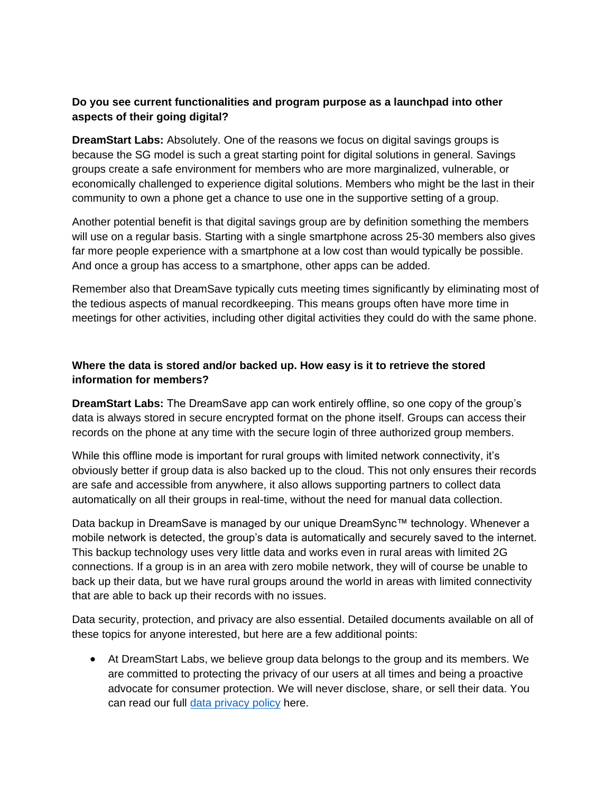#### **Do you see current functionalities and program purpose as a launchpad into other aspects of their going digital?**

**DreamStart Labs:** Absolutely. One of the reasons we focus on digital savings groups is because the SG model is such a great starting point for digital solutions in general. Savings groups create a safe environment for members who are more marginalized, vulnerable, or economically challenged to experience digital solutions. Members who might be the last in their community to own a phone get a chance to use one in the supportive setting of a group.

Another potential benefit is that digital savings group are by definition something the members will use on a regular basis. Starting with a single smartphone across 25-30 members also gives far more people experience with a smartphone at a low cost than would typically be possible. And once a group has access to a smartphone, other apps can be added.

Remember also that DreamSave typically cuts meeting times significantly by eliminating most of the tedious aspects of manual recordkeeping. This means groups often have more time in meetings for other activities, including other digital activities they could do with the same phone.

#### **Where the data is stored and/or backed up. How easy is it to retrieve the stored information for members?**

**DreamStart Labs:** The DreamSave app can work entirely offline, so one copy of the group's data is always stored in secure encrypted format on the phone itself. Groups can access their records on the phone at any time with the secure login of three authorized group members.

While this offline mode is important for rural groups with limited network connectivity, it's obviously better if group data is also backed up to the cloud. This not only ensures their records are safe and accessible from anywhere, it also allows supporting partners to collect data automatically on all their groups in real-time, without the need for manual data collection.

Data backup in DreamSave is managed by our unique DreamSync™ technology. Whenever a mobile network is detected, the group's data is automatically and securely saved to the internet. This backup technology uses very little data and works even in rural areas with limited 2G connections. If a group is in an area with zero mobile network, they will of course be unable to back up their data, but we have rural groups around the world in areas with limited connectivity that are able to back up their records with no issues.

Data security, protection, and privacy are also essential. Detailed documents available on all of these topics for anyone interested, but here are a few additional points:

• At DreamStart Labs, we believe group data belongs to the group and its members. We are committed to protecting the privacy of our users at all times and being a proactive advocate for consumer protection. We will never disclose, share, or sell their data. You can read our full [data privacy policy](http://www.dreamstartlabs.com/dreamsave-privacy-policy.html) here.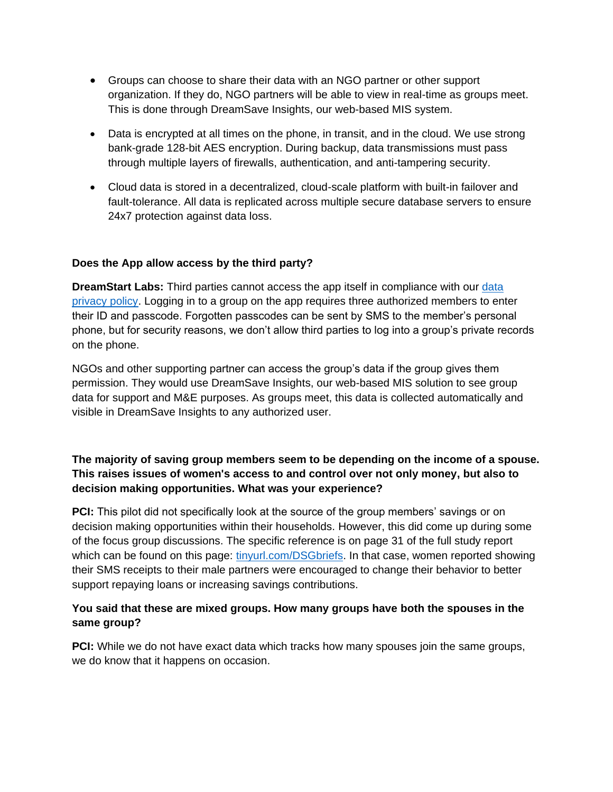- Groups can choose to share their data with an NGO partner or other support organization. If they do, NGO partners will be able to view in real-time as groups meet. This is done through DreamSave Insights, our web-based MIS system.
- Data is encrypted at all times on the phone, in transit, and in the cloud. We use strong bank-grade 128-bit AES encryption. During backup, data transmissions must pass through multiple layers of firewalls, authentication, and anti-tampering security.
- Cloud data is stored in a decentralized, cloud-scale platform with built-in failover and fault-tolerance. All data is replicated across multiple secure database servers to ensure 24x7 protection against data loss.

#### **Does the App allow access by the third party?**

**DreamStart Labs:** Third parties cannot access the app itself in compliance with our [data](http://www.dreamstartlabs.com/dreamsave-privacy-policy.html)  [privacy policy.](http://www.dreamstartlabs.com/dreamsave-privacy-policy.html) Logging in to a group on the app requires three authorized members to enter their ID and passcode. Forgotten passcodes can be sent by SMS to the member's personal phone, but for security reasons, we don't allow third parties to log into a group's private records on the phone.

NGOs and other supporting partner can access the group's data if the group gives them permission. They would use DreamSave Insights, our web-based MIS solution to see group data for support and M&E purposes. As groups meet, this data is collected automatically and visible in DreamSave Insights to any authorized user.

#### **The majority of saving group members seem to be depending on the income of a spouse. This raises issues of women's access to and control over not only money, but also to decision making opportunities. What was your experience?**

**PCI:** This pilot did not specifically look at the source of the group members' savings or on decision making opportunities within their households. However, this did come up during some of the focus group discussions. The specific reference is on page 31 of the full study report which can be found on this page: [tinyurl.com/DSGbriefs.](http://tinyurl.com/DSGbriefs) In that case, women reported showing their SMS receipts to their male partners were encouraged to change their behavior to better support repaying loans or increasing savings contributions.

#### **You said that these are mixed groups. How many groups have both the spouses in the same group?**

**PCI:** While we do not have exact data which tracks how many spouses join the same groups, we do know that it happens on occasion.